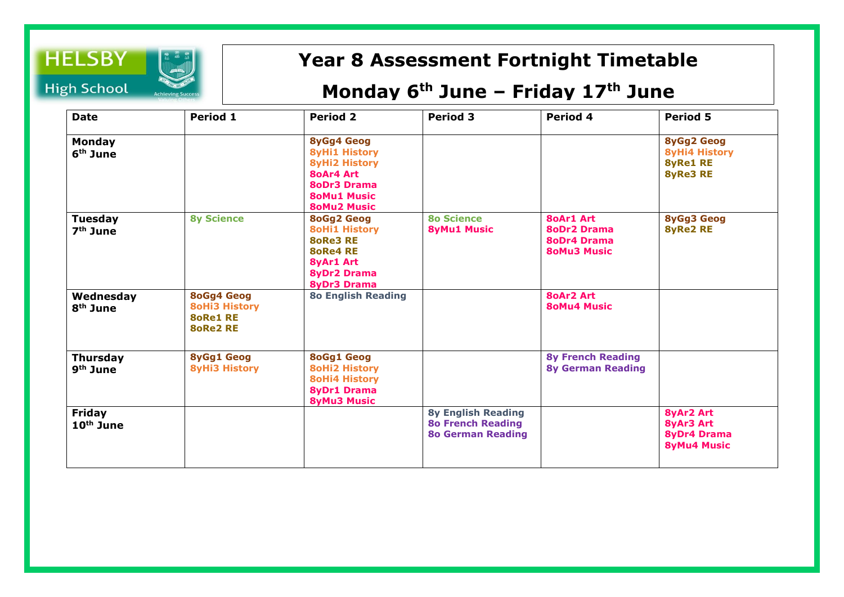

## **Year 8 Assessment Fortnight Timetable**

## **Monday 6 th June – Friday 17th June**

| <b>Date</b>                             | Period 1                                                                        | <b>Period 2</b>                                                                                                                                         | <b>Period 3</b>                                                                   | Period 4                                                                           | <b>Period 5</b>                                                                 |
|-----------------------------------------|---------------------------------------------------------------------------------|---------------------------------------------------------------------------------------------------------------------------------------------------------|-----------------------------------------------------------------------------------|------------------------------------------------------------------------------------|---------------------------------------------------------------------------------|
| <b>Monday</b><br>$6th$ June             |                                                                                 | <b>8yGg4 Geog</b><br><b>8yHi1 History</b><br><b>8yHi2 History</b><br><b>80Ar4 Art</b><br><b>8oDr3 Drama</b><br><b>80Mu1 Music</b><br><b>80Mu2 Music</b> |                                                                                   |                                                                                    | <b>8yGg2 Geog</b><br><b>8yHi4 History</b><br><b>8yRe1 RE</b><br><b>8yRe3 RE</b> |
| <b>Tuesday</b><br>$7th$ June            | <b>8y Science</b>                                                               | <b>8oGg2 Geog</b><br><b>8oHi1 History</b><br><b>8oRe3 RE</b><br><b>8oRe4 RE</b><br><b>8yAr1 Art</b><br><b>8yDr2 Drama</b><br><b>8yDr3 Drama</b>         | <b>80 Science</b><br><b>8yMu1 Music</b>                                           | <b>80Ar1 Art</b><br><b>8oDr2 Drama</b><br><b>8oDr4 Drama</b><br><b>80Mu3 Music</b> | <b>8yGg3 Geog</b><br><b>8yRe2 RE</b>                                            |
| Wednesday<br>$8th$ June                 | <b>8oGg4 Geog</b><br><b>8oHi3 History</b><br><b>80Re1 RE</b><br><b>8oRe2 RE</b> | <b>80 English Reading</b>                                                                                                                               |                                                                                   | <b>80Ar2 Art</b><br><b>80Mu4 Music</b>                                             |                                                                                 |
| <b>Thursday</b><br>9 <sup>th</sup> June | <b>8yGg1 Geog</b><br><b>8yHi3 History</b>                                       | <b>8oGg1 Geog</b><br><b>8oHi2 History</b><br><b>8oHi4 History</b><br><b>8yDr1 Drama</b><br><b>8yMu3 Music</b>                                           |                                                                                   | <b>8y French Reading</b><br><b>8y German Reading</b>                               |                                                                                 |
| <b>Friday</b><br>$10th$ June            |                                                                                 |                                                                                                                                                         | <b>8y English Reading</b><br><b>80 French Reading</b><br><b>80 German Reading</b> |                                                                                    | <b>8yAr2 Art</b><br>8yAr3 Art<br><b>8yDr4 Drama</b><br><b>8yMu4 Music</b>       |